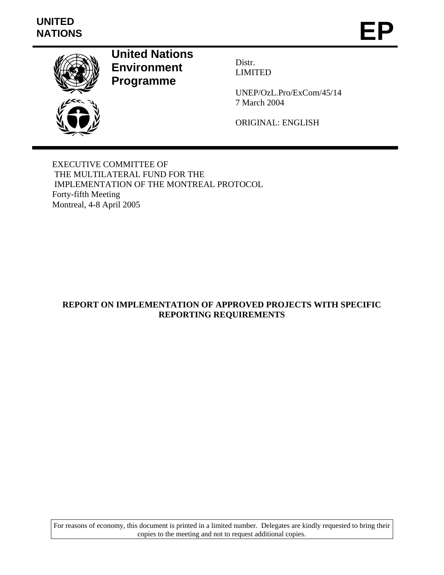# **UNITED**  UNITED<br>NATIONS **EP**



**United Nations Environment Programme** 

Distr. LIMITED

UNEP/OzL.Pro/ExCom/45/14 7 March 2004

ORIGINAL: ENGLISH

EXECUTIVE COMMITTEE OF THE MULTILATERAL FUND FOR THE IMPLEMENTATION OF THE MONTREAL PROTOCOL Forty-fifth Meeting Montreal, 4-8 April 2005

# **REPORT ON IMPLEMENTATION OF APPROVED PROJECTS WITH SPECIFIC REPORTING REQUIREMENTS**

For reasons of economy, this document is printed in a limited number. Delegates are kindly requested to bring their copies to the meeting and not to request additional copies.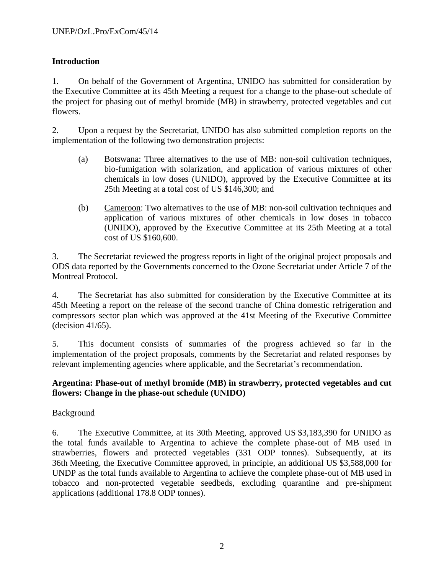# **Introduction**

1. On behalf of the Government of Argentina, UNIDO has submitted for consideration by the Executive Committee at its 45th Meeting a request for a change to the phase-out schedule of the project for phasing out of methyl bromide (MB) in strawberry, protected vegetables and cut flowers.

2. Upon a request by the Secretariat, UNIDO has also submitted completion reports on the implementation of the following two demonstration projects:

- (a) Botswana: Three alternatives to the use of MB: non-soil cultivation techniques, bio-fumigation with solarization, and application of various mixtures of other chemicals in low doses (UNIDO), approved by the Executive Committee at its 25th Meeting at a total cost of US \$146,300; and
- (b) Cameroon: Two alternatives to the use of MB: non-soil cultivation techniques and application of various mixtures of other chemicals in low doses in tobacco (UNIDO), approved by the Executive Committee at its 25th Meeting at a total cost of US \$160,600.

3. The Secretariat reviewed the progress reports in light of the original project proposals and ODS data reported by the Governments concerned to the Ozone Secretariat under Article 7 of the Montreal Protocol.

4. The Secretariat has also submitted for consideration by the Executive Committee at its 45th Meeting a report on the release of the second tranche of China domestic refrigeration and compressors sector plan which was approved at the 41st Meeting of the Executive Committee (decision 41/65).

5. This document consists of summaries of the progress achieved so far in the implementation of the project proposals, comments by the Secretariat and related responses by relevant implementing agencies where applicable, and the Secretariat's recommendation.

# **Argentina: Phase-out of methyl bromide (MB) in strawberry, protected vegetables and cut flowers: Change in the phase-out schedule (UNIDO)**

# Background

6. The Executive Committee, at its 30th Meeting, approved US \$3,183,390 for UNIDO as the total funds available to Argentina to achieve the complete phase-out of MB used in strawberries, flowers and protected vegetables (331 ODP tonnes). Subsequently, at its 36th Meeting, the Executive Committee approved, in principle, an additional US \$3,588,000 for UNDP as the total funds available to Argentina to achieve the complete phase-out of MB used in tobacco and non-protected vegetable seedbeds, excluding quarantine and pre-shipment applications (additional 178.8 ODP tonnes).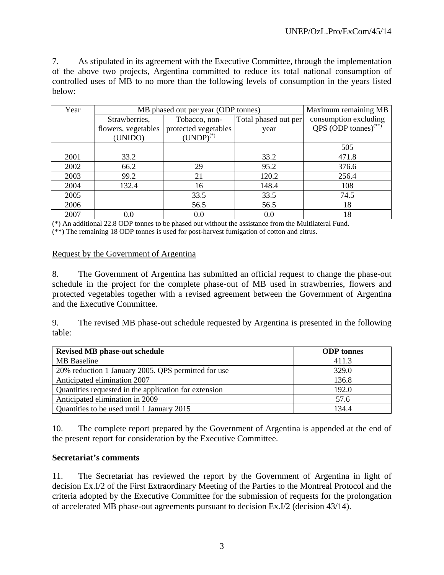7. As stipulated in its agreement with the Executive Committee, through the implementation of the above two projects, Argentina committed to reduce its total national consumption of controlled uses of MB to no more than the following levels of consumption in the years listed below:

| Year | MB phased out per year (ODP tonnes)                    |                      |                       | Maximum remaining MB                               |
|------|--------------------------------------------------------|----------------------|-----------------------|----------------------------------------------------|
|      | Total phased out per<br>Strawberries,<br>Tobacco, non- |                      | consumption excluding |                                                    |
|      | flowers, vegetables                                    | protected vegetables | year                  | QPS $\overrightarrow{OPP}$ tonnes) <sup>(**)</sup> |
|      | (UNIDO)                                                | $(UNDP)^{(*)}$       |                       |                                                    |
|      |                                                        |                      |                       | 505                                                |
| 2001 | 33.2                                                   |                      | 33.2                  | 471.8                                              |
| 2002 | 66.2                                                   | 29                   | 95.2                  | 376.6                                              |
| 2003 | 99.2                                                   | 21                   | 120.2                 | 256.4                                              |
| 2004 | 132.4                                                  | 16                   | 148.4                 | 108                                                |
| 2005 |                                                        | 33.5                 | 33.5                  | 74.5                                               |
| 2006 |                                                        | 56.5                 | 56.5                  | 18                                                 |
| 2007 | 0.0                                                    | 0.0                  | 0.0                   | 18                                                 |

(\*) An additional 22.8 ODP tonnes to be phased out without the assistance from the Multilateral Fund. (\*\*) The remaining 18 ODP tonnes is used for post-harvest fumigation of cotton and citrus.

#### Request by the Government of Argentina

8. The Government of Argentina has submitted an official request to change the phase-out schedule in the project for the complete phase-out of MB used in strawberries, flowers and protected vegetables together with a revised agreement between the Government of Argentina and the Executive Committee.

9. The revised MB phase-out schedule requested by Argentina is presented in the following table:

| <b>Revised MB phase-out schedule</b>                  | <b>ODP</b> tonnes |  |  |
|-------------------------------------------------------|-------------------|--|--|
| <b>MB</b> Baseline                                    | 411.3             |  |  |
| 20% reduction 1 January 2005. QPS permitted for use   | 329.0             |  |  |
| Anticipated elimination 2007                          | 136.8             |  |  |
| Quantities requested in the application for extension | 192.0             |  |  |
| Anticipated elimination in 2009                       | 57.6              |  |  |
| Quantities to be used until 1 January 2015            | 134.4             |  |  |

10. The complete report prepared by the Government of Argentina is appended at the end of the present report for consideration by the Executive Committee.

#### **Secretariat's comments**

11. The Secretariat has reviewed the report by the Government of Argentina in light of decision Ex.I/2 of the First Extraordinary Meeting of the Parties to the Montreal Protocol and the criteria adopted by the Executive Committee for the submission of requests for the prolongation of accelerated MB phase-out agreements pursuant to decision Ex.I/2 (decision 43/14).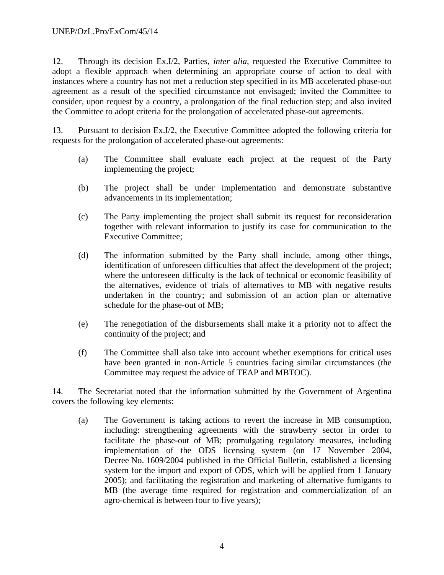12. Through its decision Ex.I/2, Parties, *inter alia*, requested the Executive Committee to adopt a flexible approach when determining an appropriate course of action to deal with instances where a country has not met a reduction step specified in its MB accelerated phase-out agreement as a result of the specified circumstance not envisaged; invited the Committee to consider, upon request by a country, a prolongation of the final reduction step; and also invited the Committee to adopt criteria for the prolongation of accelerated phase-out agreements.

13. Pursuant to decision Ex.I/2, the Executive Committee adopted the following criteria for requests for the prolongation of accelerated phase-out agreements:

- (a) The Committee shall evaluate each project at the request of the Party implementing the project;
- (b) The project shall be under implementation and demonstrate substantive advancements in its implementation;
- (c) The Party implementing the project shall submit its request for reconsideration together with relevant information to justify its case for communication to the Executive Committee;
- (d) The information submitted by the Party shall include, among other things, identification of unforeseen difficulties that affect the development of the project; where the unforeseen difficulty is the lack of technical or economic feasibility of the alternatives, evidence of trials of alternatives to MB with negative results undertaken in the country; and submission of an action plan or alternative schedule for the phase-out of MB;
- (e) The renegotiation of the disbursements shall make it a priority not to affect the continuity of the project; and
- (f) The Committee shall also take into account whether exemptions for critical uses have been granted in non-Article 5 countries facing similar circumstances (the Committee may request the advice of TEAP and MBTOC).

14. The Secretariat noted that the information submitted by the Government of Argentina covers the following key elements:

(a) The Government is taking actions to revert the increase in MB consumption, including: strengthening agreements with the strawberry sector in order to facilitate the phase-out of MB; promulgating regulatory measures, including implementation of the ODS licensing system (on 17 November 2004, Decree No. 1609/2004 published in the Official Bulletin, established a licensing system for the import and export of ODS, which will be applied from 1 January 2005); and facilitating the registration and marketing of alternative fumigants to MB (the average time required for registration and commercialization of an agro-chemical is between four to five years);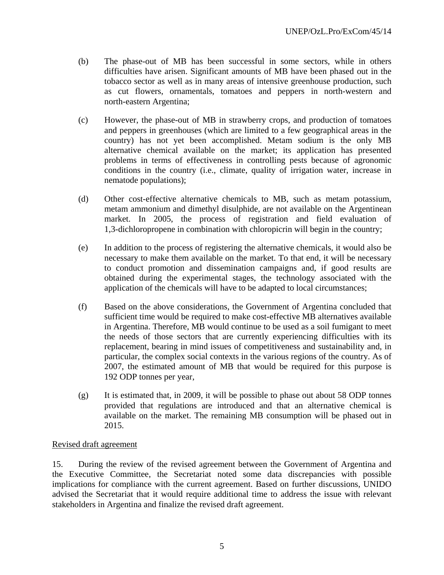- (b) The phase-out of MB has been successful in some sectors, while in others difficulties have arisen. Significant amounts of MB have been phased out in the tobacco sector as well as in many areas of intensive greenhouse production, such as cut flowers, ornamentals, tomatoes and peppers in north-western and north-eastern Argentina;
- (c) However, the phase-out of MB in strawberry crops, and production of tomatoes and peppers in greenhouses (which are limited to a few geographical areas in the country) has not yet been accomplished. Metam sodium is the only MB alternative chemical available on the market; its application has presented problems in terms of effectiveness in controlling pests because of agronomic conditions in the country (i.e., climate, quality of irrigation water, increase in nematode populations);
- (d) Other cost-effective alternative chemicals to MB, such as metam potassium, metam ammonium and dimethyl disulphide, are not available on the Argentinean market. In 2005, the process of registration and field evaluation of 1,3-dichloropropene in combination with chloropicrin will begin in the country;
- (e) In addition to the process of registering the alternative chemicals, it would also be necessary to make them available on the market. To that end, it will be necessary to conduct promotion and dissemination campaigns and, if good results are obtained during the experimental stages, the technology associated with the application of the chemicals will have to be adapted to local circumstances;
- (f) Based on the above considerations, the Government of Argentina concluded that sufficient time would be required to make cost-effective MB alternatives available in Argentina. Therefore, MB would continue to be used as a soil fumigant to meet the needs of those sectors that are currently experiencing difficulties with its replacement, bearing in mind issues of competitiveness and sustainability and, in particular, the complex social contexts in the various regions of the country. As of 2007, the estimated amount of MB that would be required for this purpose is 192 ODP tonnes per year,
- (g) It is estimated that, in 2009, it will be possible to phase out about 58 ODP tonnes provided that regulations are introduced and that an alternative chemical is available on the market. The remaining MB consumption will be phased out in 2015.

#### Revised draft agreement

15. During the review of the revised agreement between the Government of Argentina and the Executive Committee, the Secretariat noted some data discrepancies with possible implications for compliance with the current agreement. Based on further discussions, UNIDO advised the Secretariat that it would require additional time to address the issue with relevant stakeholders in Argentina and finalize the revised draft agreement.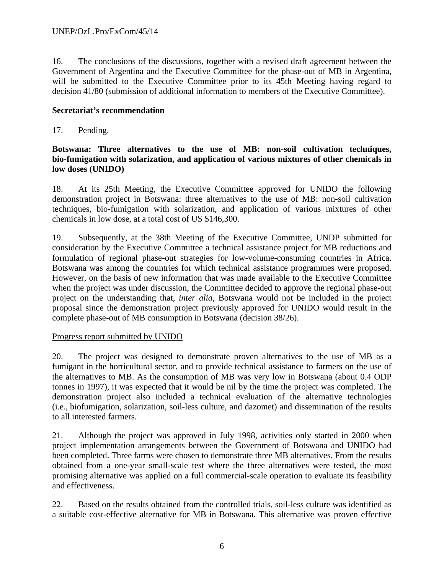16. The conclusions of the discussions, together with a revised draft agreement between the Government of Argentina and the Executive Committee for the phase-out of MB in Argentina, will be submitted to the Executive Committee prior to its 45th Meeting having regard to decision 41/80 (submission of additional information to members of the Executive Committee).

#### **Secretariat's recommendation**

17. Pending.

# **Botswana: Three alternatives to the use of MB: non-soil cultivation techniques, bio-fumigation with solarization, and application of various mixtures of other chemicals in low doses (UNIDO)**

18. At its 25th Meeting, the Executive Committee approved for UNIDO the following demonstration project in Botswana: three alternatives to the use of MB: non-soil cultivation techniques, bio-fumigation with solarization, and application of various mixtures of other chemicals in low dose, at a total cost of US \$146,300.

19. Subsequently, at the 38th Meeting of the Executive Committee, UNDP submitted for consideration by the Executive Committee a technical assistance project for MB reductions and formulation of regional phase-out strategies for low-volume-consuming countries in Africa. Botswana was among the countries for which technical assistance programmes were proposed. However, on the basis of new information that was made available to the Executive Committee when the project was under discussion, the Committee decided to approve the regional phase-out project on the understanding that, *inter alia*, Botswana would not be included in the project proposal since the demonstration project previously approved for UNIDO would result in the complete phase-out of MB consumption in Botswana (decision 38/26).

#### Progress report submitted by UNIDO

20. The project was designed to demonstrate proven alternatives to the use of MB as a fumigant in the horticultural sector, and to provide technical assistance to farmers on the use of the alternatives to MB. As the consumption of MB was very low in Botswana (about 0.4 ODP tonnes in 1997), it was expected that it would be nil by the time the project was completed. The demonstration project also included a technical evaluation of the alternative technologies (i.e., biofumigation, solarization, soil-less culture, and dazomet) and dissemination of the results to all interested farmers.

21. Although the project was approved in July 1998, activities only started in 2000 when project implementation arrangements between the Government of Botswana and UNIDO had been completed. Three farms were chosen to demonstrate three MB alternatives. From the results obtained from a one-year small-scale test where the three alternatives were tested, the most promising alternative was applied on a full commercial-scale operation to evaluate its feasibility and effectiveness.

22. Based on the results obtained from the controlled trials, soil-less culture was identified as a suitable cost-effective alternative for MB in Botswana. This alternative was proven effective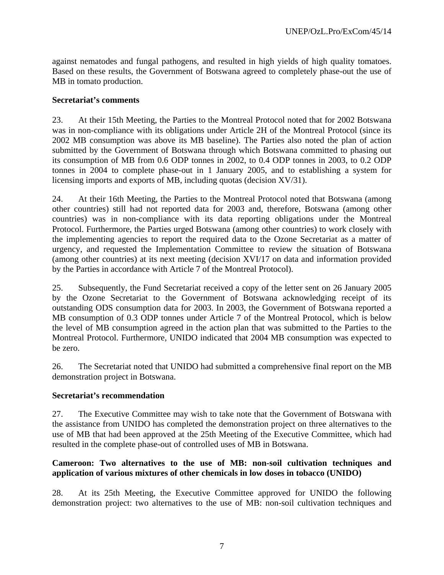against nematodes and fungal pathogens, and resulted in high yields of high quality tomatoes. Based on these results, the Government of Botswana agreed to completely phase-out the use of MB in tomato production.

#### **Secretariat's comments**

23. At their 15th Meeting, the Parties to the Montreal Protocol noted that for 2002 Botswana was in non-compliance with its obligations under Article 2H of the Montreal Protocol (since its 2002 MB consumption was above its MB baseline). The Parties also noted the plan of action submitted by the Government of Botswana through which Botswana committed to phasing out its consumption of MB from 0.6 ODP tonnes in 2002, to 0.4 ODP tonnes in 2003, to 0.2 ODP tonnes in 2004 to complete phase-out in 1 January 2005, and to establishing a system for licensing imports and exports of MB, including quotas (decision XV/31).

24. At their 16th Meeting, the Parties to the Montreal Protocol noted that Botswana (among other countries) still had not reported data for 2003 and, therefore, Botswana (among other countries) was in non-compliance with its data reporting obligations under the Montreal Protocol. Furthermore, the Parties urged Botswana (among other countries) to work closely with the implementing agencies to report the required data to the Ozone Secretariat as a matter of urgency, and requested the Implementation Committee to review the situation of Botswana (among other countries) at its next meeting (decision XVI/17 on data and information provided by the Parties in accordance with Article 7 of the Montreal Protocol).

25. Subsequently, the Fund Secretariat received a copy of the letter sent on 26 January 2005 by the Ozone Secretariat to the Government of Botswana acknowledging receipt of its outstanding ODS consumption data for 2003. In 2003, the Government of Botswana reported a MB consumption of 0.3 ODP tonnes under Article 7 of the Montreal Protocol, which is below the level of MB consumption agreed in the action plan that was submitted to the Parties to the Montreal Protocol. Furthermore, UNIDO indicated that 2004 MB consumption was expected to be zero.

26. The Secretariat noted that UNIDO had submitted a comprehensive final report on the MB demonstration project in Botswana.

# **Secretariat's recommendation**

27. The Executive Committee may wish to take note that the Government of Botswana with the assistance from UNIDO has completed the demonstration project on three alternatives to the use of MB that had been approved at the 25th Meeting of the Executive Committee, which had resulted in the complete phase-out of controlled uses of MB in Botswana.

# **Cameroon: Two alternatives to the use of MB: non-soil cultivation techniques and application of various mixtures of other chemicals in low doses in tobacco (UNIDO)**

28. At its 25th Meeting, the Executive Committee approved for UNIDO the following demonstration project: two alternatives to the use of MB: non-soil cultivation techniques and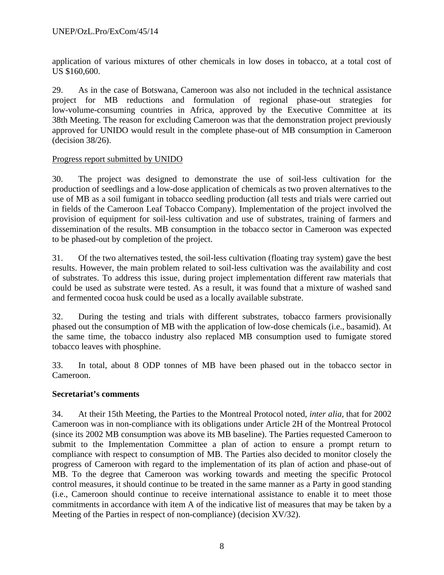application of various mixtures of other chemicals in low doses in tobacco, at a total cost of US \$160,600.

29. As in the case of Botswana, Cameroon was also not included in the technical assistance project for MB reductions and formulation of regional phase-out strategies for low-volume-consuming countries in Africa, approved by the Executive Committee at its 38th Meeting. The reason for excluding Cameroon was that the demonstration project previously approved for UNIDO would result in the complete phase-out of MB consumption in Cameroon (decision 38/26).

#### Progress report submitted by UNIDO

30. The project was designed to demonstrate the use of soil-less cultivation for the production of seedlings and a low-dose application of chemicals as two proven alternatives to the use of MB as a soil fumigant in tobacco seedling production (all tests and trials were carried out in fields of the Cameroon Leaf Tobacco Company). Implementation of the project involved the provision of equipment for soil-less cultivation and use of substrates, training of farmers and dissemination of the results. MB consumption in the tobacco sector in Cameroon was expected to be phased-out by completion of the project.

31. Of the two alternatives tested, the soil-less cultivation (floating tray system) gave the best results. However, the main problem related to soil-less cultivation was the availability and cost of substrates. To address this issue, during project implementation different raw materials that could be used as substrate were tested. As a result, it was found that a mixture of washed sand and fermented cocoa husk could be used as a locally available substrate.

32. During the testing and trials with different substrates, tobacco farmers provisionally phased out the consumption of MB with the application of low-dose chemicals (i.e., basamid). At the same time, the tobacco industry also replaced MB consumption used to fumigate stored tobacco leaves with phosphine.

33. In total, about 8 ODP tonnes of MB have been phased out in the tobacco sector in Cameroon.

# **Secretariat's comments**

34. At their 15th Meeting, the Parties to the Montreal Protocol noted, *inter alia,* that for 2002 Cameroon was in non-compliance with its obligations under Article 2H of the Montreal Protocol (since its 2002 MB consumption was above its MB baseline). The Parties requested Cameroon to submit to the Implementation Committee a plan of action to ensure a prompt return to compliance with respect to consumption of MB. The Parties also decided to monitor closely the progress of Cameroon with regard to the implementation of its plan of action and phase-out of MB. To the degree that Cameroon was working towards and meeting the specific Protocol control measures, it should continue to be treated in the same manner as a Party in good standing (i.e., Cameroon should continue to receive international assistance to enable it to meet those commitments in accordance with item A of the indicative list of measures that may be taken by a Meeting of the Parties in respect of non-compliance) (decision XV/32).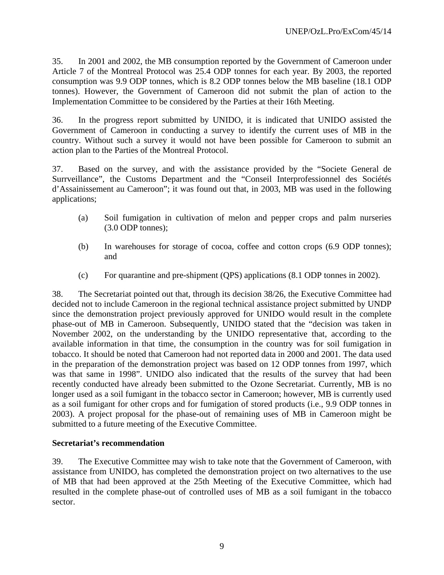35. In 2001 and 2002, the MB consumption reported by the Government of Cameroon under Article 7 of the Montreal Protocol was 25.4 ODP tonnes for each year. By 2003, the reported consumption was 9.9 ODP tonnes, which is 8.2 ODP tonnes below the MB baseline (18.1 ODP tonnes). However, the Government of Cameroon did not submit the plan of action to the Implementation Committee to be considered by the Parties at their 16th Meeting.

36. In the progress report submitted by UNIDO, it is indicated that UNIDO assisted the Government of Cameroon in conducting a survey to identify the current uses of MB in the country. Without such a survey it would not have been possible for Cameroon to submit an action plan to the Parties of the Montreal Protocol.

37. Based on the survey, and with the assistance provided by the "Societe General de Surrveillance", the Customs Department and the "Conseil Interprofessionnel des Sociétés d'Assainissement au Cameroon"; it was found out that, in 2003, MB was used in the following applications;

- (a) Soil fumigation in cultivation of melon and pepper crops and palm nurseries (3.0 ODP tonnes);
- (b) In warehouses for storage of cocoa, coffee and cotton crops (6.9 ODP tonnes); and
- (c) For quarantine and pre-shipment (QPS) applications (8.1 ODP tonnes in 2002).

38. The Secretariat pointed out that, through its decision 38/26, the Executive Committee had decided not to include Cameroon in the regional technical assistance project submitted by UNDP since the demonstration project previously approved for UNIDO would result in the complete phase-out of MB in Cameroon. Subsequently, UNIDO stated that the "decision was taken in November 2002, on the understanding by the UNIDO representative that, according to the available information in that time, the consumption in the country was for soil fumigation in tobacco. It should be noted that Cameroon had not reported data in 2000 and 2001. The data used in the preparation of the demonstration project was based on 12 ODP tonnes from 1997, which was that same in 1998". UNIDO also indicated that the results of the survey that had been recently conducted have already been submitted to the Ozone Secretariat. Currently, MB is no longer used as a soil fumigant in the tobacco sector in Cameroon; however, MB is currently used as a soil fumigant for other crops and for fumigation of stored products (i.e., 9.9 ODP tonnes in 2003). A project proposal for the phase-out of remaining uses of MB in Cameroon might be submitted to a future meeting of the Executive Committee.

# **Secretariat's recommendation**

39. The Executive Committee may wish to take note that the Government of Cameroon, with assistance from UNIDO, has completed the demonstration project on two alternatives to the use of MB that had been approved at the 25th Meeting of the Executive Committee, which had resulted in the complete phase-out of controlled uses of MB as a soil fumigant in the tobacco sector.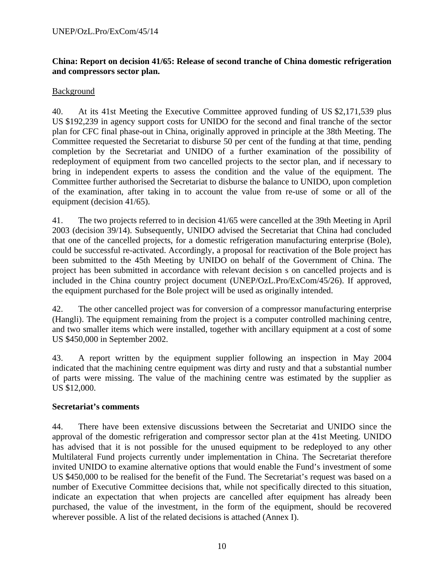#### **China: Report on decision 41/65: Release of second tranche of China domestic refrigeration and compressors sector plan.**

#### Background

40. At its 41st Meeting the Executive Committee approved funding of US \$2,171,539 plus US \$192,239 in agency support costs for UNIDO for the second and final tranche of the sector plan for CFC final phase-out in China, originally approved in principle at the 38th Meeting. The Committee requested the Secretariat to disburse 50 per cent of the funding at that time, pending completion by the Secretariat and UNIDO of a further examination of the possibility of redeployment of equipment from two cancelled projects to the sector plan, and if necessary to bring in independent experts to assess the condition and the value of the equipment. The Committee further authorised the Secretariat to disburse the balance to UNIDO, upon completion of the examination, after taking in to account the value from re-use of some or all of the equipment (decision 41/65).

41. The two projects referred to in decision 41/65 were cancelled at the 39th Meeting in April 2003 (decision 39/14). Subsequently, UNIDO advised the Secretariat that China had concluded that one of the cancelled projects, for a domestic refrigeration manufacturing enterprise (Bole), could be successful re-activated. Accordingly, a proposal for reactivation of the Bole project has been submitted to the 45th Meeting by UNIDO on behalf of the Government of China. The project has been submitted in accordance with relevant decision s on cancelled projects and is included in the China country project document (UNEP/OzL.Pro/ExCom/45/26). If approved, the equipment purchased for the Bole project will be used as originally intended.

42. The other cancelled project was for conversion of a compressor manufacturing enterprise (Hangli). The equipment remaining from the project is a computer controlled machining centre, and two smaller items which were installed, together with ancillary equipment at a cost of some US \$450,000 in September 2002.

43. A report written by the equipment supplier following an inspection in May 2004 indicated that the machining centre equipment was dirty and rusty and that a substantial number of parts were missing. The value of the machining centre was estimated by the supplier as US \$12,000.

#### **Secretariat's comments**

44. There have been extensive discussions between the Secretariat and UNIDO since the approval of the domestic refrigeration and compressor sector plan at the 41st Meeting. UNIDO has advised that it is not possible for the unused equipment to be redeployed to any other Multilateral Fund projects currently under implementation in China. The Secretariat therefore invited UNIDO to examine alternative options that would enable the Fund's investment of some US \$450,000 to be realised for the benefit of the Fund. The Secretariat's request was based on a number of Executive Committee decisions that, while not specifically directed to this situation, indicate an expectation that when projects are cancelled after equipment has already been purchased, the value of the investment, in the form of the equipment, should be recovered wherever possible. A list of the related decisions is attached (Annex I).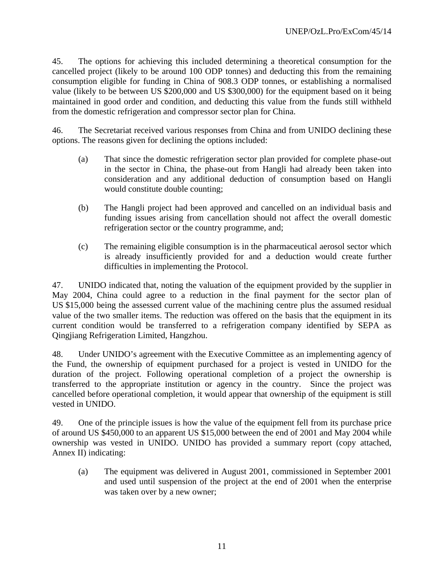45. The options for achieving this included determining a theoretical consumption for the cancelled project (likely to be around 100 ODP tonnes) and deducting this from the remaining consumption eligible for funding in China of 908.3 ODP tonnes, or establishing a normalised value (likely to be between US \$200,000 and US \$300,000) for the equipment based on it being maintained in good order and condition, and deducting this value from the funds still withheld from the domestic refrigeration and compressor sector plan for China.

46. The Secretariat received various responses from China and from UNIDO declining these options. The reasons given for declining the options included:

- (a) That since the domestic refrigeration sector plan provided for complete phase-out in the sector in China, the phase-out from Hangli had already been taken into consideration and any additional deduction of consumption based on Hangli would constitute double counting;
- (b) The Hangli project had been approved and cancelled on an individual basis and funding issues arising from cancellation should not affect the overall domestic refrigeration sector or the country programme, and;
- (c) The remaining eligible consumption is in the pharmaceutical aerosol sector which is already insufficiently provided for and a deduction would create further difficulties in implementing the Protocol.

47. UNIDO indicated that, noting the valuation of the equipment provided by the supplier in May 2004, China could agree to a reduction in the final payment for the sector plan of US \$15,000 being the assessed current value of the machining centre plus the assumed residual value of the two smaller items. The reduction was offered on the basis that the equipment in its current condition would be transferred to a refrigeration company identified by SEPA as Qingjiang Refrigeration Limited, Hangzhou.

48. Under UNIDO's agreement with the Executive Committee as an implementing agency of the Fund, the ownership of equipment purchased for a project is vested in UNIDO for the duration of the project. Following operational completion of a project the ownership is transferred to the appropriate institution or agency in the country. Since the project was cancelled before operational completion, it would appear that ownership of the equipment is still vested in UNIDO.

49. One of the principle issues is how the value of the equipment fell from its purchase price of around US \$450,000 to an apparent US \$15,000 between the end of 2001 and May 2004 while ownership was vested in UNIDO. UNIDO has provided a summary report (copy attached, Annex II) indicating:

(a) The equipment was delivered in August 2001, commissioned in September 2001 and used until suspension of the project at the end of 2001 when the enterprise was taken over by a new owner;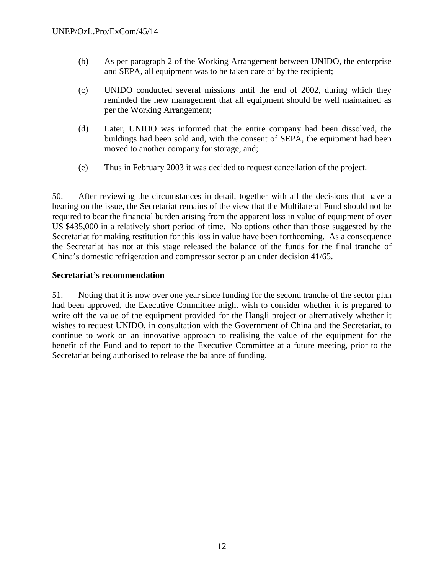- (b) As per paragraph 2 of the Working Arrangement between UNIDO, the enterprise and SEPA, all equipment was to be taken care of by the recipient;
- (c) UNIDO conducted several missions until the end of 2002, during which they reminded the new management that all equipment should be well maintained as per the Working Arrangement;
- (d) Later, UNIDO was informed that the entire company had been dissolved, the buildings had been sold and, with the consent of SEPA, the equipment had been moved to another company for storage, and;
- (e) Thus in February 2003 it was decided to request cancellation of the project.

50. After reviewing the circumstances in detail, together with all the decisions that have a bearing on the issue, the Secretariat remains of the view that the Multilateral Fund should not be required to bear the financial burden arising from the apparent loss in value of equipment of over US \$435,000 in a relatively short period of time. No options other than those suggested by the Secretariat for making restitution for this loss in value have been forthcoming. As a consequence the Secretariat has not at this stage released the balance of the funds for the final tranche of China's domestic refrigeration and compressor sector plan under decision 41/65.

#### **Secretariat's recommendation**

51. Noting that it is now over one year since funding for the second tranche of the sector plan had been approved, the Executive Committee might wish to consider whether it is prepared to write off the value of the equipment provided for the Hangli project or alternatively whether it wishes to request UNIDO, in consultation with the Government of China and the Secretariat, to continue to work on an innovative approach to realising the value of the equipment for the benefit of the Fund and to report to the Executive Committee at a future meeting, prior to the Secretariat being authorised to release the balance of funding.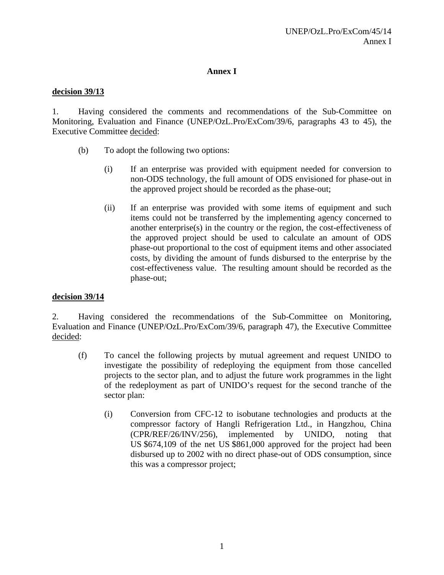#### **Annex I**

#### **decision 39/13**

1. Having considered the comments and recommendations of the Sub-Committee on Monitoring, Evaluation and Finance (UNEP/OzL.Pro/ExCom/39/6, paragraphs 43 to 45), the Executive Committee decided:

- (b) To adopt the following two options:
	- (i) If an enterprise was provided with equipment needed for conversion to non-ODS technology, the full amount of ODS envisioned for phase-out in the approved project should be recorded as the phase-out;
	- (ii) If an enterprise was provided with some items of equipment and such items could not be transferred by the implementing agency concerned to another enterprise(s) in the country or the region, the cost-effectiveness of the approved project should be used to calculate an amount of ODS phase-out proportional to the cost of equipment items and other associated costs, by dividing the amount of funds disbursed to the enterprise by the cost-effectiveness value. The resulting amount should be recorded as the phase-out;

#### **decision 39/14**

2. Having considered the recommendations of the Sub-Committee on Monitoring, Evaluation and Finance (UNEP/OzL.Pro/ExCom/39/6, paragraph 47), the Executive Committee decided:

- (f) To cancel the following projects by mutual agreement and request UNIDO to investigate the possibility of redeploying the equipment from those cancelled projects to the sector plan, and to adjust the future work programmes in the light of the redeployment as part of UNIDO's request for the second tranche of the sector plan:
	- (i) Conversion from CFC-12 to isobutane technologies and products at the compressor factory of Hangli Refrigeration Ltd., in Hangzhou, China (CPR/REF/26/INV/256), implemented by UNIDO, noting that US \$674,109 of the net US \$861,000 approved for the project had been disbursed up to 2002 with no direct phase-out of ODS consumption, since this was a compressor project;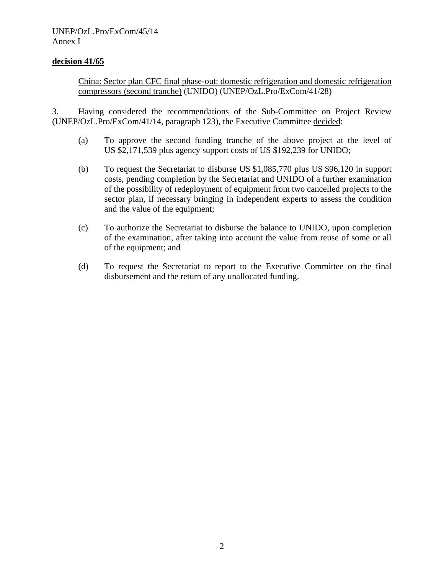#### **decision 41/65**

China: Sector plan CFC final phase-out: domestic refrigeration and domestic refrigeration compressors (second tranche) (UNIDO) (UNEP/OzL.Pro/ExCom/41/28)

3. Having considered the recommendations of the Sub-Committee on Project Review (UNEP/OzL.Pro/ExCom/41/14, paragraph 123), the Executive Committee decided:

- (a) To approve the second funding tranche of the above project at the level of US \$2,171,539 plus agency support costs of US \$192,239 for UNIDO;
- (b) To request the Secretariat to disburse US \$1,085,770 plus US \$96,120 in support costs, pending completion by the Secretariat and UNIDO of a further examination of the possibility of redeployment of equipment from two cancelled projects to the sector plan, if necessary bringing in independent experts to assess the condition and the value of the equipment;
- (c) To authorize the Secretariat to disburse the balance to UNIDO, upon completion of the examination, after taking into account the value from reuse of some or all of the equipment; and
- (d) To request the Secretariat to report to the Executive Committee on the final disbursement and the return of any unallocated funding.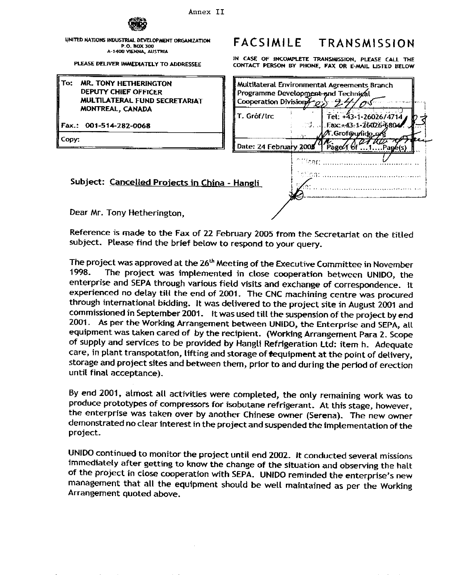

UNITED NATIONS INDUSTRIAL DEVELOPMENT ORGANIZATION P.O. BOX 300 A-1400 VIENNA, AUSTRIA

PLEASE DELIVER IMMEDIATELY TO ADDRESSEE

| To: MR. TONY HETHERINGTON     |
|-------------------------------|
| DEPUTY CHIEF OFFICER          |
| MULTILATERAL FUND SECRETARIAT |
| MONTREAL, CANADA              |

Fax.: 001-514-282-0068

Copy:

#### **FACSIMILE** TRANSMISSION

IN CASE OF INCOMPLETE TRANSMISSION, PLEASE CALL THE CONTACT PERSON BY PHONE, FAX OR E-MAIL LISTED BELOW

| MR. TONY HETHERINGTON<br><b>DEPUTY CHIEF OFFICER</b><br>MULTILATERAL FUND SECRETARIAT | Programme Development and Technical<br>Cooperation Division $\mathcal{H}_{\mathcal{O}}$ |                 | Multilateral Environmental Agreements Branch                |
|---------------------------------------------------------------------------------------|-----------------------------------------------------------------------------------------|-----------------|-------------------------------------------------------------|
| MONTREAL, CANADA<br>x.: 001-514-282-0068                                              | T. Gróf/trc                                                                             |                 | Tel: +43-1-26026/4714<br>$\sim$ Eax: $\pm$ 43-1-26026-6804. |
| ру:                                                                                   | Date: 24 February 2005                                                                  |                 | ⁄T.Grof@unido.or1<br>Page/16f<br>.Page(s)                   |
|                                                                                       |                                                                                         | <b>Ciffcer:</b> | iction:                                                     |
| Subject: Cancelled Projects in China - Hangli                                         |                                                                                         |                 |                                                             |
| Dear Mr. Tony Hetherington.                                                           |                                                                                         |                 |                                                             |

Dear Mr. Tony Hetherington,

Reference is made to the Fax of 22 February 2005 from the Secretariat on the titled subject. Please find the brief below to respond to your query.

The project was approved at the 26<sup>th</sup> Meeting of the Executive Committee in November The project was implemented in close cooperation between UNIDO, the 1998. enterprise and SEPA through various field visits and exchange of correspondence. It experienced no delay till the end of 2001. The CNC machining centre was procured through international bidding. It was delivered to the project site in August 2001 and commissioned in September 2001. It was used till the suspension of the project by end 2001. As per the Working Arrangement between UNIDO, the Enterprise and SEPA, all equipment was taken cared of by the recipient. (Working Arrangement Para 2. Scope of supply and services to be provided by Hangli Refrigeration Ltd: item h. Adequate care, in plant transpotation, lifting and storage of tequipment at the point of delivery, storage and project sites and between them, prior to and during the period of erection until final acceptance).

By end 2001, almost all activities were completed, the only remaining work was to produce prototypes of compressors for isobutane refrigerant. At this stage, however, the enterprise was taken over by another Chinese owner (Serena). The new owner demonstrated no clear interest in the project and suspended the implementation of the project.

UNIDO continued to monitor the project until end 2002. It conducted several missions immediately after getting to know the change of the situation and observing the halt of the project in close cooperation with SEPA. UNIDO reminded the enterprise's new management that all the equipment should be well maintained as per the Working Arrangement quoted above.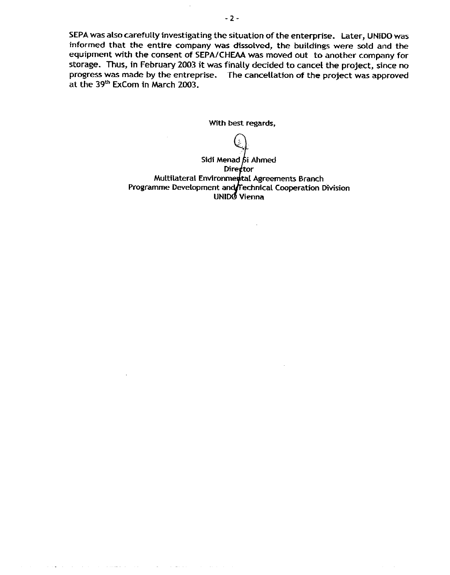SEPA was also carefully investigating the situation of the enterprise. Later, UNIDO was informed that the entire company was dissolved, the buildings were sold and the equipment with the consent of SEPA/CHEAA was moved out to another company for storage. Thus, in February 2003 it was finally decided to cancel the project, since no progress was made by the entreprise. The cancellation of the project was approved at the 39<sup>th</sup> ExCom in March 2003.

With best regards,

Sidi Menad bi Ahmed Director Multilateral Environmental Agreements Branch Programme Development and Technical Cooperation Division<br>UNIDO Vienna

 $\mathbf{a}$  , and  $\mathbf{a}$  , and  $\mathbf{a}$  , and  $\mathbf{a}$  , and  $\mathbf{a}$  , and  $\mathbf{a}$  , and  $\mathbf{a}$  , and  $\mathbf{a}$ 

 $\mathcal{L}^{\mathcal{L}}$  and  $\mathcal{L}^{\mathcal{L}}$  . The contribution of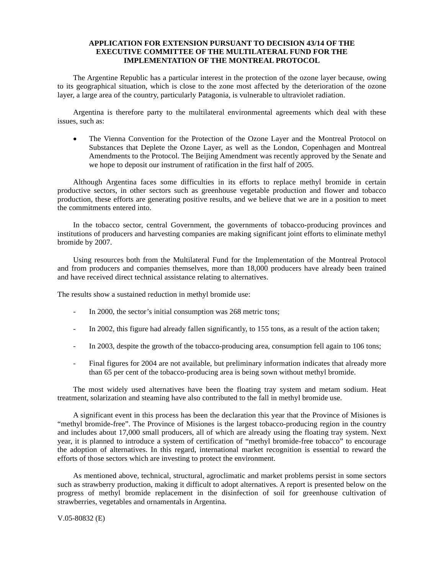#### **APPLICATION FOR EXTENSION PURSUANT TO DECISION 43/14 OF THE EXECUTIVE COMMITTEE OF THE MULTILATERAL FUND FOR THE IMPLEMENTATION OF THE MONTREAL PROTOCOL**

 The Argentine Republic has a particular interest in the protection of the ozone layer because, owing to its geographical situation, which is close to the zone most affected by the deterioration of the ozone layer, a large area of the country, particularly Patagonia, is vulnerable to ultraviolet radiation.

 Argentina is therefore party to the multilateral environmental agreements which deal with these issues, such as:

• The Vienna Convention for the Protection of the Ozone Layer and the Montreal Protocol on Substances that Deplete the Ozone Layer, as well as the London, Copenhagen and Montreal Amendments to the Protocol. The Beijing Amendment was recently approved by the Senate and we hope to deposit our instrument of ratification in the first half of 2005.

 Although Argentina faces some difficulties in its efforts to replace methyl bromide in certain productive sectors, in other sectors such as greenhouse vegetable production and flower and tobacco production, these efforts are generating positive results, and we believe that we are in a position to meet the commitments entered into.

 In the tobacco sector, central Government, the governments of tobacco-producing provinces and institutions of producers and harvesting companies are making significant joint efforts to eliminate methyl bromide by 2007.

 Using resources both from the Multilateral Fund for the Implementation of the Montreal Protocol and from producers and companies themselves, more than 18,000 producers have already been trained and have received direct technical assistance relating to alternatives.

The results show a sustained reduction in methyl bromide use:

- In 2000, the sector's initial consumption was 268 metric tons;
- In 2002, this figure had already fallen significantly, to 155 tons, as a result of the action taken;
- In 2003, despite the growth of the tobacco-producing area, consumption fell again to 106 tons;
- Final figures for 2004 are not available, but preliminary information indicates that already more than 65 per cent of the tobacco-producing area is being sown without methyl bromide.

 The most widely used alternatives have been the floating tray system and metam sodium. Heat treatment, solarization and steaming have also contributed to the fall in methyl bromide use.

 A significant event in this process has been the declaration this year that the Province of Misiones is "methyl bromide-free". The Province of Misiones is the largest tobacco-producing region in the country and includes about 17,000 small producers, all of which are already using the floating tray system. Next year, it is planned to introduce a system of certification of "methyl bromide-free tobacco" to encourage the adoption of alternatives. In this regard, international market recognition is essential to reward the efforts of those sectors which are investing to protect the environment.

 As mentioned above, technical, structural, agroclimatic and market problems persist in some sectors such as strawberry production, making it difficult to adopt alternatives. A report is presented below on the progress of methyl bromide replacement in the disinfection of soil for greenhouse cultivation of strawberries, vegetables and ornamentals in Argentina.

V.05-80832 (E)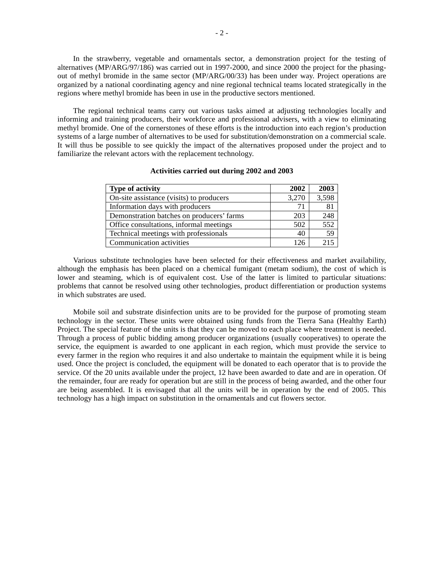In the strawberry, vegetable and ornamentals sector, a demonstration project for the testing of alternatives (MP/ARG/97/186) was carried out in 1997-2000, and since 2000 the project for the phasingout of methyl bromide in the same sector (MP/ARG/00/33) has been under way. Project operations are organized by a national coordinating agency and nine regional technical teams located strategically in the regions where methyl bromide has been in use in the productive sectors mentioned.

 The regional technical teams carry out various tasks aimed at adjusting technologies locally and informing and training producers, their workforce and professional advisers, with a view to eliminating methyl bromide. One of the cornerstones of these efforts is the introduction into each region's production systems of a large number of alternatives to be used for substitution/demonstration on a commercial scale. It will thus be possible to see quickly the impact of the alternatives proposed under the project and to familiarize the relevant actors with the replacement technology.

| <b>Type of activity</b>                   | 2002  | 2003  |
|-------------------------------------------|-------|-------|
| On-site assistance (visits) to producers  | 3,270 | 3,598 |
| Information days with producers           | 71    | 81    |
| Demonstration batches on producers' farms | 203   | 248   |
| Office consultations, informal meetings   | 502   | 552   |
| Technical meetings with professionals     | 40    | 59    |
| Communication activities                  | 126   | 215   |

#### **Activities carried out during 2002 and 2003**

 Various substitute technologies have been selected for their effectiveness and market availability, although the emphasis has been placed on a chemical fumigant (metam sodium), the cost of which is lower and steaming, which is of equivalent cost. Use of the latter is limited to particular situations: problems that cannot be resolved using other technologies, product differentiation or production systems in which substrates are used.

 Mobile soil and substrate disinfection units are to be provided for the purpose of promoting steam technology in the sector. These units were obtained using funds from the Tierra Sana (Healthy Earth) Project. The special feature of the units is that they can be moved to each place where treatment is needed. Through a process of public bidding among producer organizations (usually cooperatives) to operate the service, the equipment is awarded to one applicant in each region, which must provide the service to every farmer in the region who requires it and also undertake to maintain the equipment while it is being used. Once the project is concluded, the equipment will be donated to each operator that is to provide the service. Of the 20 units available under the project, 12 have been awarded to date and are in operation. Of the remainder, four are ready for operation but are still in the process of being awarded, and the other four are being assembled. It is envisaged that all the units will be in operation by the end of 2005. This technology has a high impact on substitution in the ornamentals and cut flowers sector.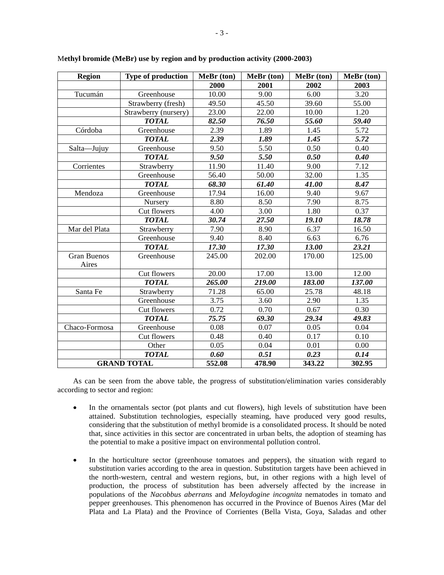| <b>Region</b>               | <b>Type of production</b> | MeBr (ton) | MeBr (ton) | MeBr (ton) | MeBr (ton) |
|-----------------------------|---------------------------|------------|------------|------------|------------|
|                             |                           | 2000       | 2001       | 2002       | 2003       |
| Tucumán                     | Greenhouse                | 10.00      | 9.00       | 6.00       | 3.20       |
|                             | Strawberry (fresh)        | 49.50      | 45.50      | 39.60      | 55.00      |
|                             | Strawberry (nursery)      | 23.00      | 22.00      | 10.00      | 1.20       |
|                             | <b>TOTAL</b>              | 82.50      | 76.50      | 55.60      | 59.40      |
| Córdoba                     | Greenhouse                | 2.39       | 1.89       | 1.45       | 5.72       |
|                             | <b>TOTAL</b>              | 2.39       | 1.89       | 1.45       | 5.72       |
| Salta-Jujuy                 | Greenhouse                | 9.50       | 5.50       | 0.50       | 0.40       |
|                             | <b>TOTAL</b>              | 9.50       | 5.50       | 0.50       | 0.40       |
| Corrientes                  | Strawberry                | 11.90      | 11.40      | 9.00       | 7.12       |
|                             | Greenhouse                | 56.40      | 50.00      | 32.00      | 1.35       |
|                             | <b>TOTAL</b>              | 68.30      | 61.40      | 41.00      | 8.47       |
| Mendoza                     | Greenhouse                | 17.94      | 16.00      | 9.40       | 9.67       |
|                             | Nursery                   | 8.80       | 8.50       | 7.90       | 8.75       |
|                             | Cut flowers               | 4.00       | 3.00       | 1.80       | 0.37       |
|                             | <b>TOTAL</b>              | 30.74      | 27.50      | 19.10      | 18.78      |
| Mar del Plata               | Strawberry                | 7.90       | 8.90       | 6.37       | 16.50      |
|                             | Greenhouse                | 9.40       | 8.40       | 6.63       | 6.76       |
|                             | <b>TOTAL</b>              | 17.30      | 17.30      | 13.00      | 23.21      |
| <b>Gran Buenos</b><br>Aires | Greenhouse                | 245.00     | 202.00     | 170.00     | 125.00     |
|                             | Cut flowers               | 20.00      | 17.00      | 13.00      | 12.00      |
|                             | <b>TOTAL</b>              | 265.00     | 219.00     | 183.00     | 137.00     |
| Santa Fe                    | Strawberry                | 71.28      | 65.00      | 25.78      | 48.18      |
|                             | Greenhouse                | 3.75       | 3.60       | 2.90       | 1.35       |
|                             | Cut flowers               | 0.72       | 0.70       | 0.67       | 0.30       |
|                             | <b>TOTAL</b>              | 75.75      | 69.30      | 29.34      | 49.83      |
| Chaco-Formosa               | Greenhouse                | 0.08       | 0.07       | 0.05       | 0.04       |
|                             | Cut flowers               | 0.48       | 0.40       | 0.17       | 0.10       |
|                             | Other                     | 0.05       | 0.04       | 0.01       | 0.00       |
|                             | <b>TOTAL</b>              | 0.60       | 0.51       | 0.23       | 0.14       |
|                             | <b>GRAND TOTAL</b>        | 552.08     | 478.90     | 343.22     | 302.95     |

M**ethyl bromide (MeBr) use by region and by production activity (2000-2003)** 

 As can be seen from the above table, the progress of substitution/elimination varies considerably according to sector and region:

- In the ornamentals sector (pot plants and cut flowers), high levels of substitution have been attained. Substitution technologies, especially steaming, have produced very good results, considering that the substitution of methyl bromide is a consolidated process. It should be noted that, since activities in this sector are concentrated in urban belts, the adoption of steaming has the potential to make a positive impact on environmental pollution control.
- In the horticulture sector (greenhouse tomatoes and peppers), the situation with regard to substitution varies according to the area in question. Substitution targets have been achieved in the north-western, central and western regions, but, in other regions with a high level of production, the process of substitution has been adversely affected by the increase in populations of the *Nacobbus aberrans* and *Meloydogine incognita* nematodes in tomato and pepper greenhouses. This phenomenon has occurred in the Province of Buenos Aires (Mar del Plata and La Plata) and the Province of Corrientes (Bella Vista, Goya, Saladas and other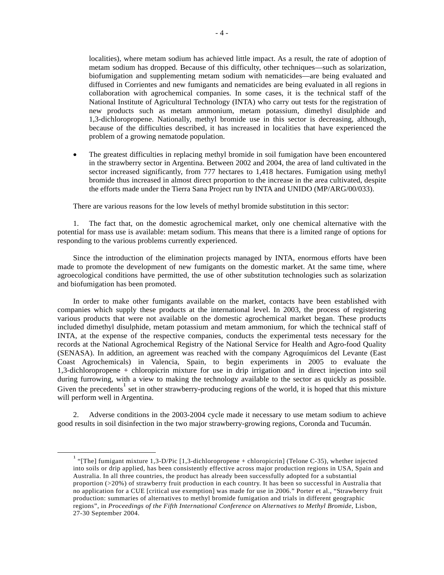localities), where metam sodium has achieved little impact. As a result, the rate of adoption of metam sodium has dropped. Because of this difficulty, other techniques—such as solarization, biofumigation and supplementing metam sodium with nematicides—are being evaluated and diffused in Corrientes and new fumigants and nematicides are being evaluated in all regions in collaboration with agrochemical companies. In some cases, it is the technical staff of the National Institute of Agricultural Technology (INTA) who carry out tests for the registration of new products such as metam ammonium, metam potassium, dimethyl disulphide and 1,3-dichloropropene. Nationally, methyl bromide use in this sector is decreasing, although, because of the difficulties described, it has increased in localities that have experienced the problem of a growing nematode population.

• The greatest difficulties in replacing methyl bromide in soil fumigation have been encountered in the strawberry sector in Argentina. Between 2002 and 2004, the area of land cultivated in the sector increased significantly, from 777 hectares to 1,418 hectares. Fumigation using methyl bromide thus increased in almost direct proportion to the increase in the area cultivated, despite the efforts made under the Tierra Sana Project run by INTA and UNIDO (MP/ARG/00/033).

There are various reasons for the low levels of methyl bromide substitution in this sector:

 1. The fact that, on the domestic agrochemical market, only one chemical alternative with the potential for mass use is available: metam sodium. This means that there is a limited range of options for responding to the various problems currently experienced.

 Since the introduction of the elimination projects managed by INTA, enormous efforts have been made to promote the development of new fumigants on the domestic market. At the same time, where agroecological conditions have permitted, the use of other substitution technologies such as solarization and biofumigation has been promoted.

 In order to make other fumigants available on the market, contacts have been established with companies which supply these products at the international level. In 2003, the process of registering various products that were not available on the domestic agrochemical market began. These products included dimethyl disulphide, metam potassium and metam ammonium, for which the technical staff of INTA, at the expense of the respective companies, conducts the experimental tests necessary for the records at the National Agrochemical Registry of the National Service for Health and Agro-food Quality (SENASA). In addition, an agreement was reached with the company Agroquímicos del Levante (East Coast Agrochemicals) in Valencia, Spain, to begin experiments in 2005 to evaluate the 1,3-dichloropropene + chloropicrin mixture for use in drip irrigation and in direct injection into soil during furrowing, with a view to making the technology available to the sector as quickly as possible. Given the precedents<sup>1</sup> set in other strawberry-producing regions of the world, it is hoped that this mixture will perform well in Argentina.

 2. Adverse conditions in the 2003-2004 cycle made it necessary to use metam sodium to achieve good results in soil disinfection in the two major strawberry-growing regions, Coronda and Tucumán.

 $\frac{1}{1}$ <sup>1</sup> "[The] fumigant mixture 1,3-D/Pic [1,3-dichloropropene + chloropicrin] (Telone C-35), whether injected into soils or drip applied, has been consistently effective across major production regions in USA, Spain and Australia. In all three countries, the product has already been successfully adopted for a substantial proportion (>20%) of strawberry fruit production in each country. It has been so successful in Australia that no application for a CUE [critical use exemption] was made for use in 2006." Porter et al., "Strawberry fruit production: summaries of alternatives to methyl bromide fumigation and trials in different geographic regions", in *Proceedings of the Fifth International Conference on Alternatives to Methyl Bromide*, Lisbon, 27-30 September 2004.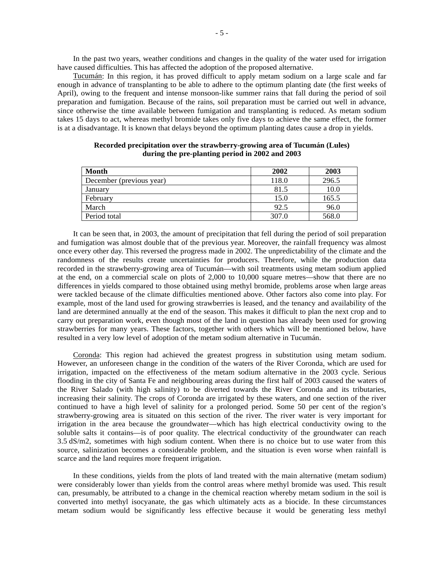In the past two years, weather conditions and changes in the quality of the water used for irrigation have caused difficulties. This has affected the adoption of the proposed alternative.

 Tucumán: In this region, it has proved difficult to apply metam sodium on a large scale and far enough in advance of transplanting to be able to adhere to the optimum planting date (the first weeks of April), owing to the frequent and intense monsoon-like summer rains that fall during the period of soil preparation and fumigation. Because of the rains, soil preparation must be carried out well in advance, since otherwise the time available between fumigation and transplanting is reduced. As metam sodium takes 15 days to act, whereas methyl bromide takes only five days to achieve the same effect, the former is at a disadvantage. It is known that delays beyond the optimum planting dates cause a drop in yields.

| <b>Month</b>             | 2002  | 2003  |
|--------------------------|-------|-------|
| December (previous year) | 118.0 | 296.5 |
| January                  | 81.5  | 10.0  |
| February                 | 15.0  | 165.5 |
| March                    | 92.5  | 96.0  |
| Period total             | 307.0 | 568.0 |

**Recorded precipitation over the strawberry-growing area of Tucumán (Lules) during the pre-planting period in 2002 and 2003** 

 It can be seen that, in 2003, the amount of precipitation that fell during the period of soil preparation and fumigation was almost double that of the previous year. Moreover, the rainfall frequency was almost once every other day. This reversed the progress made in 2002. The unpredictability of the climate and the randomness of the results create uncertainties for producers. Therefore, while the production data recorded in the strawberry-growing area of Tucumán—with soil treatments using metam sodium applied at the end, on a commercial scale on plots of 2,000 to 10,000 square metres—show that there are no differences in yields compared to those obtained using methyl bromide, problems arose when large areas were tackled because of the climate difficulties mentioned above. Other factors also come into play. For example, most of the land used for growing strawberries is leased, and the tenancy and availability of the land are determined annually at the end of the season. This makes it difficult to plan the next crop and to carry out preparation work, even though most of the land in question has already been used for growing strawberries for many years. These factors, together with others which will be mentioned below, have resulted in a very low level of adoption of the metam sodium alternative in Tucumán.

 Coronda: This region had achieved the greatest progress in substitution using metam sodium. However, an unforeseen change in the condition of the waters of the River Coronda, which are used for irrigation, impacted on the effectiveness of the metam sodium alternative in the 2003 cycle. Serious flooding in the city of Santa Fe and neighbouring areas during the first half of 2003 caused the waters of the River Salado (with high salinity) to be diverted towards the River Coronda and its tributaries, increasing their salinity. The crops of Coronda are irrigated by these waters, and one section of the river continued to have a high level of salinity for a prolonged period. Some 50 per cent of the region's strawberry-growing area is situated on this section of the river. The river water is very important for irrigation in the area because the groundwater—which has high electrical conductivity owing to the soluble salts it contains—is of poor quality. The electrical conductivity of the groundwater can reach 3.5 dS/m2, sometimes with high sodium content. When there is no choice but to use water from this source, salinization becomes a considerable problem, and the situation is even worse when rainfall is scarce and the land requires more frequent irrigation.

 In these conditions, yields from the plots of land treated with the main alternative (metam sodium) were considerably lower than yields from the control areas where methyl bromide was used. This result can, presumably, be attributed to a change in the chemical reaction whereby metam sodium in the soil is converted into methyl isocyanate, the gas which ultimately acts as a biocide. In these circumstances metam sodium would be significantly less effective because it would be generating less methyl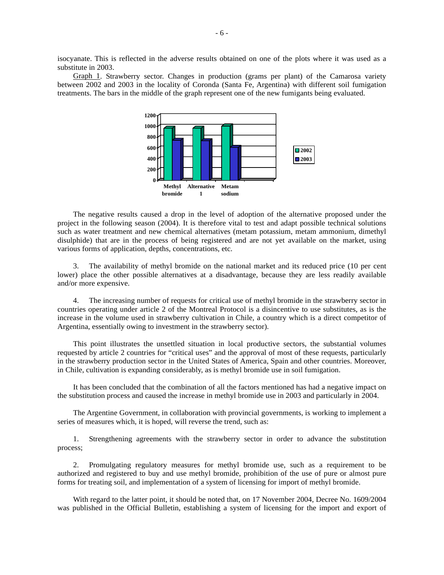isocyanate. This is reflected in the adverse results obtained on one of the plots where it was used as a substitute in 2003.

 Graph 1. Strawberry sector. Changes in production (grams per plant) of the Camarosa variety between 2002 and 2003 in the locality of Coronda (Santa Fe, Argentina) with different soil fumigation treatments. The bars in the middle of the graph represent one of the new fumigants being evaluated.



 The negative results caused a drop in the level of adoption of the alternative proposed under the project in the following season (2004). It is therefore vital to test and adapt possible technical solutions such as water treatment and new chemical alternatives (metam potassium, metam ammonium, dimethyl disulphide) that are in the process of being registered and are not yet available on the market, using various forms of application, depths, concentrations, etc.

 3. The availability of methyl bromide on the national market and its reduced price (10 per cent lower) place the other possible alternatives at a disadvantage, because they are less readily available and/or more expensive.

 4. The increasing number of requests for critical use of methyl bromide in the strawberry sector in countries operating under article 2 of the Montreal Protocol is a disincentive to use substitutes, as is the increase in the volume used in strawberry cultivation in Chile, a country which is a direct competitor of Argentina, essentially owing to investment in the strawberry sector).

 This point illustrates the unsettled situation in local productive sectors, the substantial volumes requested by article 2 countries for "critical uses" and the approval of most of these requests, particularly in the strawberry production sector in the United States of America, Spain and other countries. Moreover, in Chile, cultivation is expanding considerably, as is methyl bromide use in soil fumigation.

 It has been concluded that the combination of all the factors mentioned has had a negative impact on the substitution process and caused the increase in methyl bromide use in 2003 and particularly in 2004.

 The Argentine Government, in collaboration with provincial governments, is working to implement a series of measures which, it is hoped, will reverse the trend, such as:

 1. Strengthening agreements with the strawberry sector in order to advance the substitution process;

 2. Promulgating regulatory measures for methyl bromide use, such as a requirement to be authorized and registered to buy and use methyl bromide, prohibition of the use of pure or almost pure forms for treating soil, and implementation of a system of licensing for import of methyl bromide.

 With regard to the latter point, it should be noted that, on 17 November 2004, Decree No. 1609/2004 was published in the Official Bulletin, establishing a system of licensing for the import and export of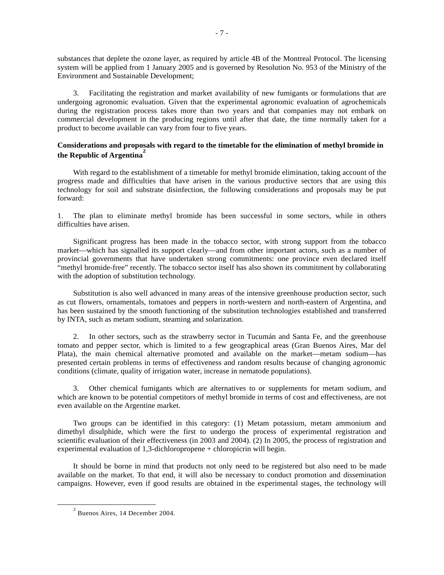substances that deplete the ozone layer, as required by article 4B of the Montreal Protocol. The licensing system will be applied from 1 January 2005 and is governed by Resolution No. 953 of the Ministry of the Environment and Sustainable Development;

 3. Facilitating the registration and market availability of new fumigants or formulations that are undergoing agronomic evaluation. Given that the experimental agronomic evaluation of agrochemicals during the registration process takes more than two years and that companies may not embark on commercial development in the producing regions until after that date, the time normally taken for a product to become available can vary from four to five years.

#### **Considerations and proposals with regard to the timetable for the elimination of methyl bromide in the Republic of Argentina<sup>2</sup>**

 With regard to the establishment of a timetable for methyl bromide elimination, taking account of the progress made and difficulties that have arisen in the various productive sectors that are using this technology for soil and substrate disinfection, the following considerations and proposals may be put forward:

1. The plan to eliminate methyl bromide has been successful in some sectors, while in others difficulties have arisen.

 Significant progress has been made in the tobacco sector, with strong support from the tobacco market—which has signalled its support clearly—and from other important actors, such as a number of provincial governments that have undertaken strong commitments: one province even declared itself "methyl bromide-free" recently. The tobacco sector itself has also shown its commitment by collaborating with the adoption of substitution technology.

 Substitution is also well advanced in many areas of the intensive greenhouse production sector, such as cut flowers, ornamentals, tomatoes and peppers in north-western and north-eastern of Argentina, and has been sustained by the smooth functioning of the substitution technologies established and transferred by INTA, such as metam sodium, steaming and solarization.

 2. In other sectors, such as the strawberry sector in Tucumán and Santa Fe, and the greenhouse tomato and pepper sector, which is limited to a few geographical areas (Gran Buenos Aires, Mar del Plata), the main chemical alternative promoted and available on the market—metam sodium—has presented certain problems in terms of effectiveness and random results because of changing agronomic conditions (climate, quality of irrigation water, increase in nematode populations).

 3. Other chemical fumigants which are alternatives to or supplements for metam sodium, and which are known to be potential competitors of methyl bromide in terms of cost and effectiveness, are not even available on the Argentine market.

 Two groups can be identified in this category: (1) Metam potassium, metam ammonium and dimethyl disulphide, which were the first to undergo the process of experimental registration and scientific evaluation of their effectiveness (in 2003 and 2004). (2) In 2005, the process of registration and experimental evaluation of 1,3-dichloropropene + chloropicrin will begin.

 It should be borne in mind that products not only need to be registered but also need to be made available on the market. To that end, it will also be necessary to conduct promotion and dissemination campaigns. However, even if good results are obtained in the experimental stages, the technology will

 <sup>2</sup>  $2$  Buenos Aires, 14 December 2004.